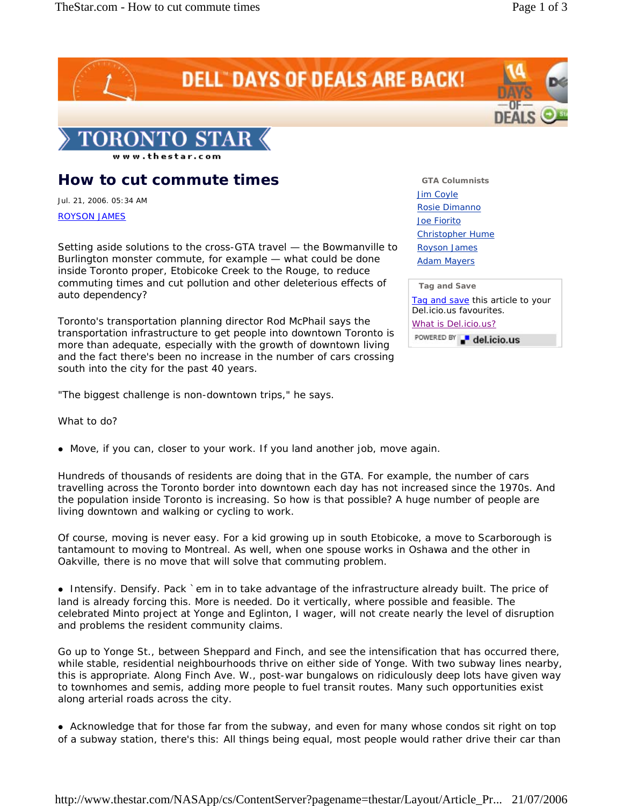

## **How to cut commute times**

Jul. 21, 2006. 05:34 AM

## ROYSON JAMES

Setting aside solutions to the cross-GTA travel — the Bowmanville to Burlington monster commute, for example — what could be done inside Toronto proper, Etobicoke Creek to the Rouge, to reduce commuting times and cut pollution and other deleterious effects of auto dependency?

Toronto's transportation planning director Rod McPhail says the transportation infrastructure to get people into downtown Toronto is more than adequate, especially with the growth of downtown living and the fact there's been no increase in the number of cars crossing south into the city for the past 40 years.

"The biggest challenge is non-downtown trips," he says.

What to do?

• Move, if you can, closer to your work. If you land another job, move again.

Hundreds of thousands of residents are doing that in the GTA. For example, the number of cars travelling across the Toronto border into downtown each day has not increased since the 1970s. And the population inside Toronto is increasing. So how is that possible? A huge number of people are living downtown and walking or cycling to work.

Of course, moving is never easy. For a kid growing up in south Etobicoke, a move to Scarborough is tantamount to moving to Montreal. As well, when one spouse works in Oshawa and the other in Oakville, there is no move that will solve that commuting problem.

• Intensify. Densify. Pack `em in to take advantage of the infrastructure already built. The price of land is already forcing this. More is needed. Do it vertically, where possible and feasible. The celebrated Minto project at Yonge and Eglinton, I wager, will not create nearly the level of disruption and problems the resident community claims.

Go up to Yonge St., between Sheppard and Finch, and see the intensification that has occurred there, while stable, residential neighbourhoods thrive on either side of Yonge. With two subway lines nearby, this is appropriate. Along Finch Ave. W., post-war bungalows on ridiculously deep lots have given way to townhomes and semis, adding more people to fuel transit routes. Many such opportunities exist along arterial roads across the city.

• Acknowledge that for those far from the subway, and even for many whose condos sit right on top of a subway station, there's this: All things being equal, most people would rather drive their car than

**GTA Columnists** Jim Coyle Rosie Dimanno Joe Fiorito Christopher Hume Royson James **Adam Mayers** 

| <b>Tag and Save</b>               |
|-----------------------------------|
| Tag and save this article to your |
| Del.icio.us favourites.           |

What is Del.icio.us?

POWERED BY a del.icio.us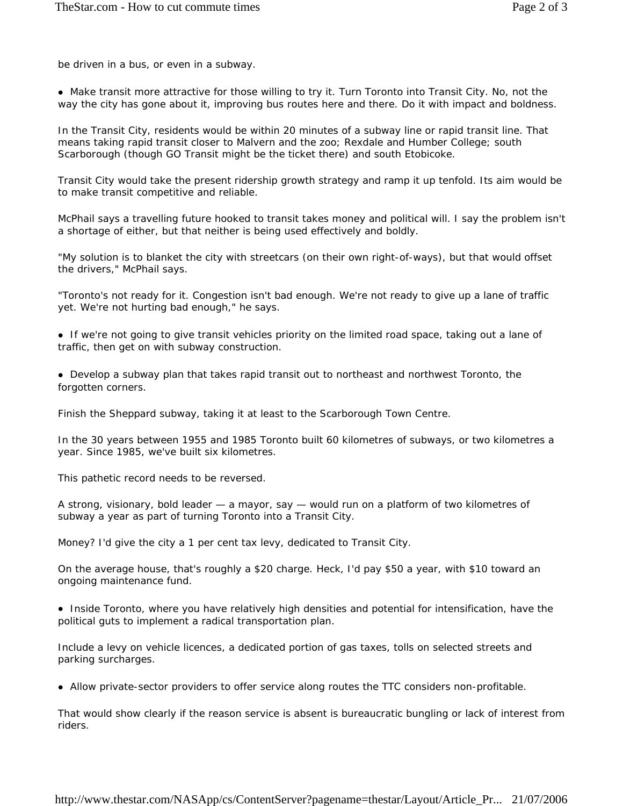be driven in a bus, or even in a subway.

• Make transit more attractive for those willing to try it. Turn Toronto into Transit City. No, not the way the city has gone about it, improving bus routes here and there. Do it with impact and boldness.

In the Transit City, residents would be within 20 minutes of a subway line or rapid transit line. That means taking rapid transit closer to Malvern and the zoo; Rexdale and Humber College; south Scarborough (though GO Transit might be the ticket there) and south Etobicoke.

Transit City would take the present ridership growth strategy and ramp it up tenfold. Its aim would be to make transit competitive and reliable.

McPhail says a travelling future hooked to transit takes money and political will. I say the problem isn't a shortage of either, but that neither is being used effectively and boldly.

"My solution is to blanket the city with streetcars (on their own right-of-ways), but that would offset the drivers," McPhail says.

"Toronto's not ready for it. Congestion isn't bad enough. We're not ready to give up a lane of traffic yet. We're not hurting bad enough," he says.

• If we're not going to give transit vehicles priority on the limited road space, taking out a lane of traffic, then get on with subway construction.

• Develop a subway plan that takes rapid transit out to northeast and northwest Toronto, the forgotten corners.

Finish the Sheppard subway, taking it at least to the Scarborough Town Centre.

In the 30 years between 1955 and 1985 Toronto built 60 kilometres of subways, or two kilometres a year. Since 1985, we've built six kilometres.

This pathetic record needs to be reversed.

A strong, visionary, bold leader — a mayor, say — would run on a platform of two kilometres of subway a year as part of turning Toronto into a Transit City.

Money? I'd give the city a 1 per cent tax levy, dedicated to Transit City.

On the average house, that's roughly a \$20 charge. Heck, I'd pay \$50 a year, with \$10 toward an ongoing maintenance fund.

• Inside Toronto, where you have relatively high densities and potential for intensification, have the political guts to implement a radical transportation plan.

Include a levy on vehicle licences, a dedicated portion of gas taxes, tolls on selected streets and parking surcharges.

• Allow private-sector providers to offer service along routes the TTC considers non-profitable.

That would show clearly if the reason service is absent is bureaucratic bungling or lack of interest from riders.